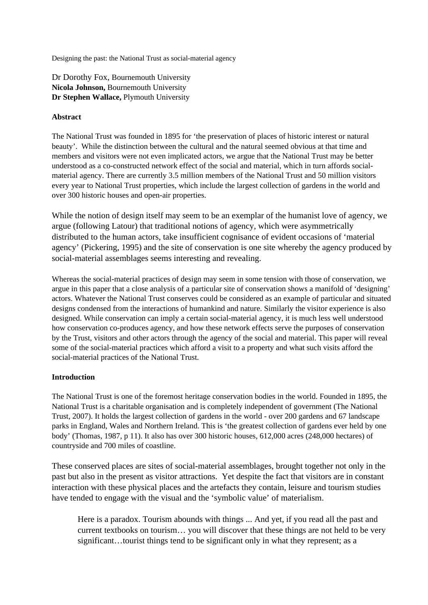Designing the past: the National Trust as social-material agency

Dr Dorothy Fox, Bournemouth University **Nicola Johnson,** Bournemouth University **Dr Stephen Wallace,** Plymouth University

#### **Abstract**

The National Trust was founded in 1895 for 'the preservation of places of historic interest or natural beauty'. While the distinction between the cultural and the natural seemed obvious at that time and members and visitors were not even implicated actors, we argue that the National Trust may be better understood as a co-constructed network effect of the social and material, which in turn affords socialmaterial agency. There are currently 3.5 million members of the National Trust and 50 million visitors every year to National Trust properties, which include the largest collection of gardens in the world and over 300 historic houses and open-air properties.

While the notion of design itself may seem to be an exemplar of the humanist love of agency, we argue (following Latour) that traditional notions of agency, which were asymmetrically distributed to the human actors, take insufficient cognisance of evident occasions of 'material agency' (Pickering, 1995) and the site of conservation is one site whereby the agency produced by social-material assemblages seems interesting and revealing.

Whereas the social-material practices of design may seem in some tension with those of conservation, we argue in this paper that a close analysis of a particular site of conservation shows a manifold of 'designing' actors. Whatever the National Trust conserves could be considered as an example of particular and situated designs condensed from the interactions of humankind and nature. Similarly the visitor experience is also designed. While conservation can imply a certain social-material agency, it is much less well understood how conservation co-produces agency, and how these network effects serve the purposes of conservation by the Trust, visitors and other actors through the agency of the social and material. This paper will reveal some of the social-material practices which afford a visit to a property and what such visits afford the social-material practices of the National Trust.

### **Introduction**

The National Trust is one of the foremost heritage conservation bodies in the world. Founded in 1895, the National Trust is a charitable organisation and is completely independent of government (The National Trust, 2007). It holds the largest collection of gardens in the world - over 200 gardens and 67 landscape parks in England, Wales and Northern Ireland. This is 'the greatest collection of gardens ever held by one body' (Thomas, 1987, p 11). It also has over 300 historic houses, 612,000 acres (248,000 hectares) of countryside and 700 miles of coastline.

These conserved places are sites of social-material assemblages, brought together not only in the past but also in the present as visitor attractions. Yet despite the fact that visitors are in constant interaction with these physical places and the artefacts they contain, leisure and tourism studies have tended to engage with the visual and the 'symbolic value' of materialism.

Here is a paradox. Tourism abounds with things ... And yet, if you read all the past and current textbooks on tourism… you will discover that these things are not held to be very significant…tourist things tend to be significant only in what they represent; as a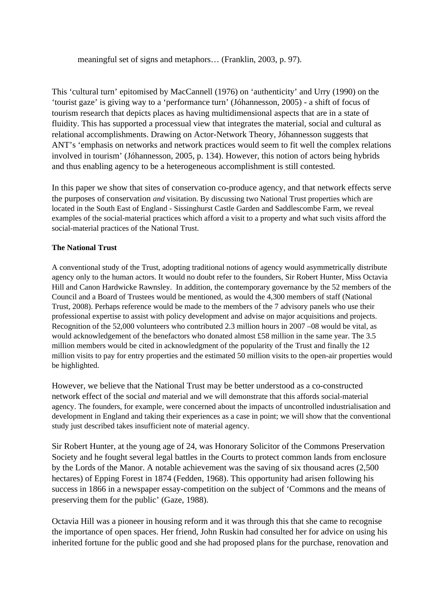meaningful set of signs and metaphors… (Franklin, 2003, p. 97).

This 'cultural turn' epitomised by MacCannell (1976) on 'authenticity' and Urry (1990) on the 'tourist gaze' is giving way to a 'performance turn' (Jóhannesson, 2005) - a shift of focus of tourism research that depicts places as having multidimensional aspects that are in a state of fluidity. This has supported a processual view that integrates the material, social and cultural as relational accomplishments. Drawing on Actor-Network Theory, Jóhannesson suggests that ANT's 'emphasis on networks and network practices would seem to fit well the complex relations involved in tourism' (Jóhannesson, 2005, p. 134). However, this notion of actors being hybrids and thus enabling agency to be a heterogeneous accomplishment is still contested.

In this paper we show that sites of conservation co-produce agency, and that network effects serve the purposes of conservation *and* visitation. By discussing two National Trust properties which are located in the South East of England - Sissinghurst Castle Garden and Saddlescombe Farm, we reveal examples of the social-material practices which afford a visit to a property and what such visits afford the social-material practices of the National Trust.

# **The National Trust**

A conventional study of the Trust, adopting traditional notions of agency would asymmetrically distribute agency only to the human actors. It would no doubt refer to the founders, Sir Robert Hunter, Miss Octavia Hill and Canon Hardwicke Rawnsley. In addition, the contemporary governance by the 52 members of the Council and a Board of Trustees would be mentioned, as would the 4,300 members of staff (National Trust, 2008). Perhaps reference would be made to the members of the 7 advisory panels who use their professional expertise to assist with policy development and advise on major acquisitions and projects. Recognition of the 52,000 volunteers who contributed 2.3 million hours in 2007 –08 would be vital, as would acknowledgement of the benefactors who donated almost £58 million in the same year. The 3.5 million members would be cited in acknowledgment of the popularity of the Trust and finally the 12 million visits to pay for entry properties and the estimated 50 million visits to the open-air properties would be highlighted.

However, we believe that the National Trust may be better understood as a co-constructed network effect of the social *and* material and we will demonstrate that this affords social-material agency. The founders, for example, were concerned about the impacts of uncontrolled industrialisation and development in England and taking their experiences as a case in point; we will show that the conventional study just described takes insufficient note of material agency.

Sir Robert Hunter, at the young age of 24, was Honorary Solicitor of the Commons Preservation Society and he fought several legal battles in the Courts to protect common lands from enclosure by the Lords of the Manor. A notable achievement was the saving of six thousand acres (2,500 hectares) of Epping Forest in 1874 (Fedden, 1968). This opportunity had arisen following his success in 1866 in a newspaper essay-competition on the subject of 'Commons and the means of preserving them for the public' (Gaze, 1988).

Octavia Hill was a pioneer in housing reform and it was through this that she came to recognise the importance of open spaces. Her friend, John Ruskin had consulted her for advice on using his inherited fortune for the public good and she had proposed plans for the purchase, renovation and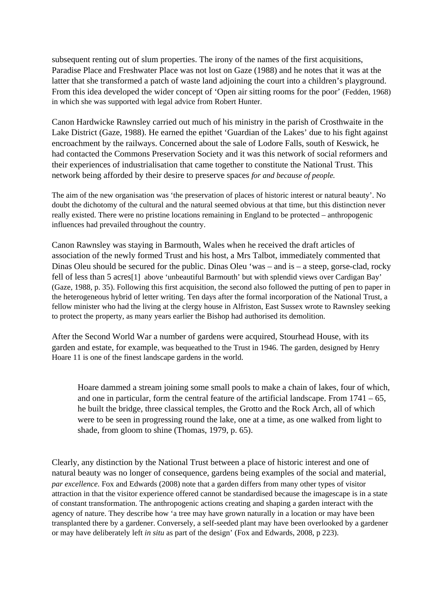subsequent renting out of slum properties. The irony of the names of the first acquisitions, Paradise Place and Freshwater Place was not lost on Gaze (1988) and he notes that it was at the latter that she transformed a patch of waste land adjoining the court into a children's playground. From this idea developed the wider concept of 'Open air sitting rooms for the poor' (Fedden, 1968) in which she was supported with legal advice from Robert Hunter.

Canon Hardwicke Rawnsley carried out much of his ministry in the parish of Crosthwaite in the Lake District (Gaze, 1988). He earned the epithet 'Guardian of the Lakes' due to his fight against encroachment by the railways. Concerned about the sale of Lodore Falls, south of Keswick, he had contacted the Commons Preservation Society and it was this network of social reformers and their experiences of industrialisation that came together to constitute the National Trust. This network being afforded by their desire to preserve spaces *for and because of people.*

The aim of the new organisation was 'the preservation of places of historic interest or natural beauty'. No doubt the dichotomy of the cultural and the natural seemed obvious at that time, but this distinction never really existed. There were no pristine locations remaining in England to be protected – anthropogenic influences had prevailed throughout the country.

Canon Rawnsley was staying in Barmouth, Wales when he received the draft articles of association of the newly formed Trust and his host, a Mrs Talbot, immediately commented that Dinas Oleu should be secured for the public. Dinas Oleu 'was – and is – a steep, gorse-clad, rocky fell of less than 5 acres[1] above 'unbeautiful Barmouth' but with splendid views over Cardigan Bay' (Gaze, 1988, p. 35). Following this first acquisition, the second also followed the putting of pen to paper in the heterogeneous hybrid of letter writing. Ten days after the formal incorporation of the National Trust, a fellow minister who had the living at the clergy house in Alfriston, East Sussex wrote to Rawnsley seeking to protect the property, as many years earlier the Bishop had authorised its demolition.

After the Second World War a number of gardens were acquired, Stourhead House, with its garden and estate, for example, was bequeathed to the Trust in 1946. The garden, designed by Henry Hoare 11 is one of the finest landscape gardens in the world.

Hoare dammed a stream joining some small pools to make a chain of lakes, four of which, and one in particular, form the central feature of the artificial landscape. From  $1741 - 65$ , he built the bridge, three classical temples, the Grotto and the Rock Arch, all of which were to be seen in progressing round the lake, one at a time, as one walked from light to shade, from gloom to shine (Thomas, 1979, p. 65).

Clearly, any distinction by the National Trust between a place of historic interest and one of natural beauty was no longer of consequence, gardens being examples of the social and material, *par excellence*. Fox and Edwards (2008) note that a garden differs from many other types of visitor attraction in that the visitor experience offered cannot be standardised because the imagescape is in a state of constant transformation. The anthropogenic actions creating and shaping a garden interact with the agency of nature. They describe how 'a tree may have grown naturally in a location or may have been transplanted there by a gardener. Conversely, a self-seeded plant may have been overlooked by a gardener or may have deliberately left *in situ* as part of the design' (Fox and Edwards, 2008, p 223).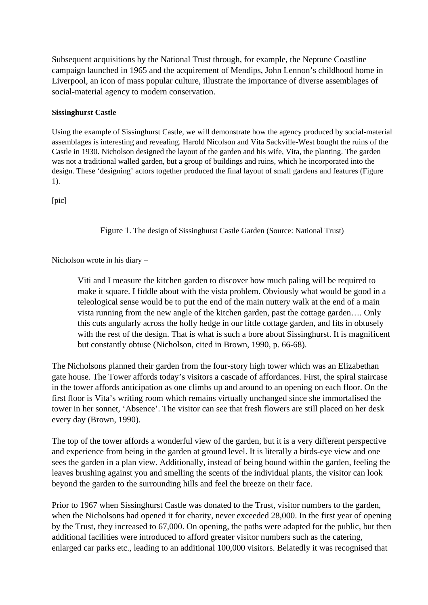Subsequent acquisitions by the National Trust through, for example, the Neptune Coastline campaign launched in 1965 and the acquirement of Mendips, John Lennon's childhood home in Liverpool, an icon of mass popular culture, illustrate the importance of diverse assemblages of social-material agency to modern conservation.

## **Sissinghurst Castle**

Using the example of Sissinghurst Castle, we will demonstrate how the agency produced by social-material assemblages is interesting and revealing. Harold Nicolson and Vita Sackville-West bought the ruins of the Castle in 1930. Nicholson designed the layout of the garden and his wife, Vita, the planting. The garden was not a traditional walled garden, but a group of buildings and ruins, which he incorporated into the design. These 'designing' actors together produced the final layout of small gardens and features (Figure 1).

[pic]

Figure 1. The design of Sissinghurst Castle Garden (Source: National Trust)

Nicholson wrote in his diary –

Viti and I measure the kitchen garden to discover how much paling will be required to make it square. I fiddle about with the vista problem. Obviously what would be good in a teleological sense would be to put the end of the main nuttery walk at the end of a main vista running from the new angle of the kitchen garden, past the cottage garden…. Only this cuts angularly across the holly hedge in our little cottage garden, and fits in obtusely with the rest of the design. That is what is such a bore about Sissinghurst. It is magnificent but constantly obtuse (Nicholson, cited in Brown, 1990, p. 66-68).

The Nicholsons planned their garden from the four-story high tower which was an Elizabethan gate house. The Tower affords today's visitors a cascade of affordances. First, the spiral staircase in the tower affords anticipation as one climbs up and around to an opening on each floor. On the first floor is Vita's writing room which remains virtually unchanged since she immortalised the tower in her sonnet, 'Absence'. The visitor can see that fresh flowers are still placed on her desk every day (Brown, 1990).

The top of the tower affords a wonderful view of the garden, but it is a very different perspective and experience from being in the garden at ground level. It is literally a birds-eye view and one sees the garden in a plan view. Additionally, instead of being bound within the garden, feeling the leaves brushing against you and smelling the scents of the individual plants, the visitor can look beyond the garden to the surrounding hills and feel the breeze on their face.

Prior to 1967 when Sissinghurst Castle was donated to the Trust, visitor numbers to the garden, when the Nicholsons had opened it for charity, never exceeded 28,000. In the first year of opening by the Trust, they increased to 67,000. On opening, the paths were adapted for the public, but then additional facilities were introduced to afford greater visitor numbers such as the catering, enlarged car parks etc., leading to an additional 100,000 visitors. Belatedly it was recognised that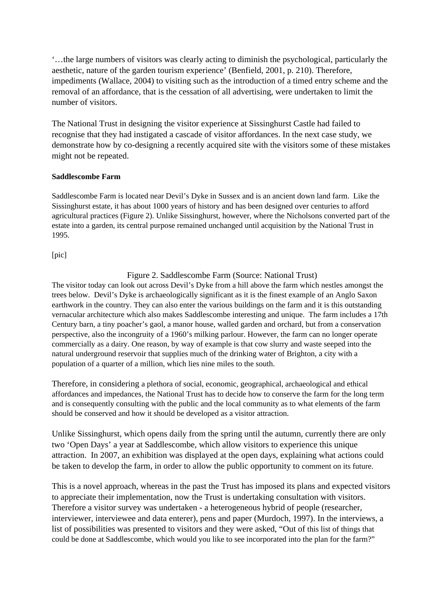'…the large numbers of visitors was clearly acting to diminish the psychological, particularly the aesthetic, nature of the garden tourism experience' (Benfield, 2001, p. 210). Therefore, impediments (Wallace, 2004) to visiting such as the introduction of a timed entry scheme and the removal of an affordance, that is the cessation of all advertising, were undertaken to limit the number of visitors.

The National Trust in designing the visitor experience at Sissinghurst Castle had failed to recognise that they had instigated a cascade of visitor affordances. In the next case study, we demonstrate how by co-designing a recently acquired site with the visitors some of these mistakes might not be repeated.

### **Saddlescombe Farm**

Saddlescombe Farm is located near Devil's Dyke in Sussex and is an ancient down land farm. Like the Sissinghurst estate, it has about 1000 years of history and has been designed over centuries to afford agricultural practices (Figure 2). Unlike Sissinghurst, however, where the Nicholsons converted part of the estate into a garden, its central purpose remained unchanged until acquisition by the National Trust in 1995.

[pic]

Figure 2. Saddlescombe Farm (Source: National Trust)

The visitor today can look out across Devil's Dyke from a hill above the farm which nestles amongst the trees below. Devil's Dyke is archaeologically significant as it is the finest example of an Anglo Saxon earthwork in the country. They can also enter the various buildings on the farm and it is this outstanding vernacular architecture which also makes Saddlescombe interesting and unique. The farm includes a 17th Century barn, a tiny poacher's gaol, a manor house, walled garden and orchard, but from a conservation perspective, also the incongruity of a 1960's milking parlour. However, the farm can no longer operate commercially as a dairy. One reason, by way of example is that cow slurry and waste seeped into the natural underground reservoir that supplies much of the drinking water of Brighton, a city with a population of a quarter of a million, which lies nine miles to the south.

Therefore, in considering a plethora of social, economic, geographical, archaeological and ethical affordances and impedances, the National Trust has to decide how to conserve the farm for the long term and is consequently consulting with the public and the local community as to what elements of the farm should be conserved and how it should be developed as a visitor attraction.

Unlike Sissinghurst, which opens daily from the spring until the autumn, currently there are only two 'Open Days' a year at Saddlescombe, which allow visitors to experience this unique attraction. In 2007, an exhibition was displayed at the open days, explaining what actions could be taken to develop the farm, in order to allow the public opportunity to comment on its future.

This is a novel approach, whereas in the past the Trust has imposed its plans and expected visitors to appreciate their implementation, now the Trust is undertaking consultation with visitors. Therefore a visitor survey was undertaken - a heterogeneous hybrid of people (researcher, interviewer, interviewee and data enterer), pens and paper (Murdoch, 1997). In the interviews, a list of possibilities was presented to visitors and they were asked, "Out of this list of things that could be done at Saddlescombe, which would you like to see incorporated into the plan for the farm?"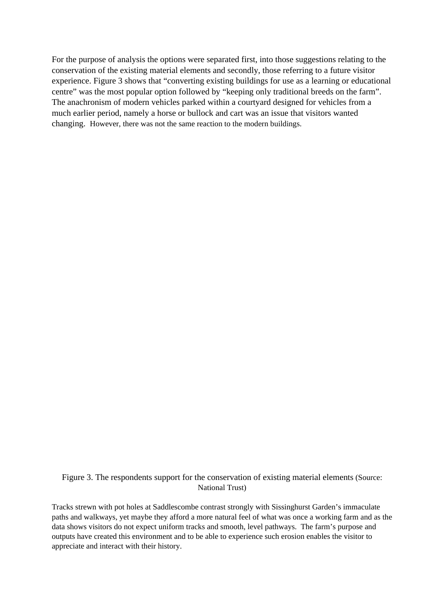For the purpose of analysis the options were separated first, into those suggestions relating to the conservation of the existing material elements and secondly, those referring to a future visitor experience. Figure 3 shows that "converting existing buildings for use as a learning or educational centre" was the most popular option followed by "keeping only traditional breeds on the farm". The anachronism of modern vehicles parked within a courtyard designed for vehicles from a much earlier period, namely a horse or bullock and cart was an issue that visitors wanted changing. However, there was not the same reaction to the modern buildings.

# Figure 3. The respondents support for the conservation of existing material elements (Source: National Trust)

Tracks strewn with pot holes at Saddlescombe contrast strongly with Sissinghurst Garden's immaculate paths and walkways, yet maybe they afford a more natural feel of what was once a working farm and as the data shows visitors do not expect uniform tracks and smooth, level pathways. The farm's purpose and outputs have created this environment and to be able to experience such erosion enables the visitor to appreciate and interact with their history.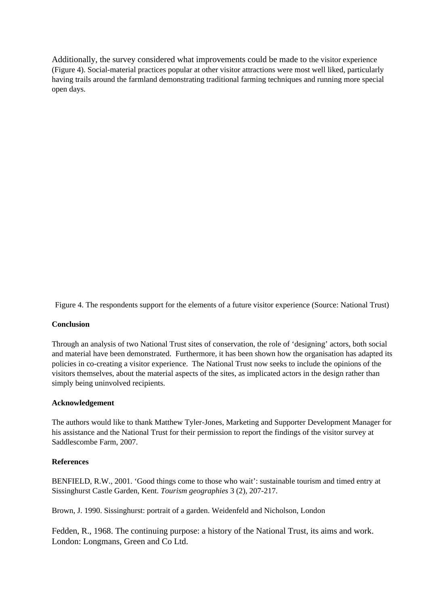Additionally, the survey considered what improvements could be made to the visitor experience (Figure 4). Social-material practices popular at other visitor attractions were most well liked, particularly having trails around the farmland demonstrating traditional farming techniques and running more special open days.

Figure 4. The respondents support for the elements of a future visitor experience (Source: National Trust)

#### **Conclusion**

Through an analysis of two National Trust sites of conservation, the role of 'designing' actors, both social and material have been demonstrated. Furthermore, it has been shown how the organisation has adapted its policies in co-creating a visitor experience. The National Trust now seeks to include the opinions of the visitors themselves, about the material aspects of the sites, as implicated actors in the design rather than simply being uninvolved recipients.

#### **Acknowledgement**

The authors would like to thank Matthew Tyler-Jones, Marketing and Supporter Development Manager for his assistance and the National Trust for their permission to report the findings of the visitor survey at Saddlescombe Farm, 2007.

#### **References**

BENFIELD, R.W., 2001. 'Good things come to those who wait': sustainable tourism and timed entry at Sissinghurst Castle Garden, Kent. *Tourism geographies* 3 (2), 207-217.

Brown, J. 1990. Sissinghurst: portrait of a garden. Weidenfeld and Nicholson, London

Fedden, R., 1968. The continuing purpose: a history of the National Trust, its aims and work. London: Longmans, Green and Co Ltd.